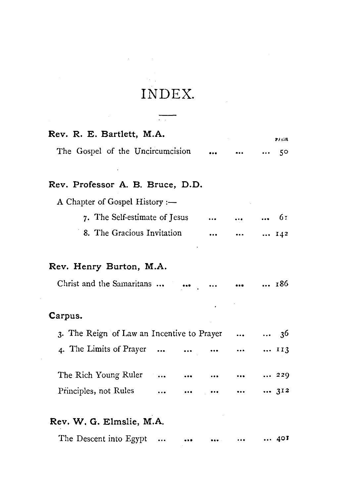## **INDEX.**

 $\frac{1}{\sqrt{2}}$ 

 $\mathcal{L}^{\text{c}}$  , where  $\mathcal{L}^{\text{c}}$  and  $\mathcal{L}^{\text{c}}$ 

| Rev. R. E. Bartlett, M.A.                  |                    | 27.GB        |
|--------------------------------------------|--------------------|--------------|
| The Gospel of the Uncircumcision           |                    | 50           |
|                                            |                    |              |
| Rev. Professor A. B. Bruce, D.D.           |                    |              |
| A Chapter of Gospel History :-             |                    |              |
| 7. The Self-estimate of Jesus              | $\cdots$           | $\ldots$ 61  |
| 8. The Gracious Invitation<br>$\cdots$     | $\cdots$           | $\cdots$ 142 |
|                                            |                    |              |
| Rev. Henry Burton, M.A.                    |                    |              |
| Christ and the Samaritans      186         |                    |              |
|                                            |                    |              |
| Carpus.                                    |                    |              |
| 3. The Reign of Law an Incentive to Prayer |                    | $36$         |
| 4. The Limits of Prayer                    | $\cdots$           | 113          |
| The Rich Young Ruler                       |                    | 229          |
|                                            | $\sim$ 1000 $\sim$ |              |
| Principles, not Rules                      | $\cdots$           | 312          |
| Rev. W. G. Elmslie, M.A.                   |                    |              |
| The Descent into Egypt                     |                    | 401          |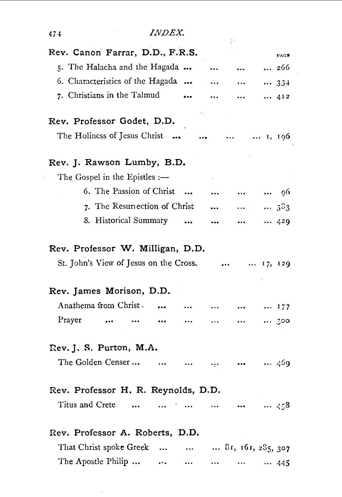| Rev. Canon Farrar, D.D., F.R.S.                     |           |           |          |                                            | PAGE                                                          |
|-----------------------------------------------------|-----------|-----------|----------|--------------------------------------------|---------------------------------------------------------------|
| 5. The Halacha and the Hagada                       |           |           |          |                                            | 266                                                           |
| 6. Characteristics of the Hagada                    |           |           |          |                                            | 334                                                           |
| 7. Christians in the Talmud                         |           |           |          |                                            | 412                                                           |
| Rev. Professor Godet, D.D.                          |           |           |          |                                            |                                                               |
| The Holiness of Jesus Christ                        |           |           | $\cdots$ | $\cdots$                                   | $\ldots$ 1, 196                                               |
| Rev. J. Rawson Lumby, B.D.                          |           |           |          |                                            |                                                               |
| The Gospel in the Epistles :-                       |           |           |          |                                            |                                                               |
| 6. The Passion of Christ                            |           |           |          | $\ddotsc$                                  | 96<br>$\bullet$ .<br><br><br><br><br><br><br><br><br><br><br> |
| 7. The Resurrection of Christ                       |           |           |          | $\mathbf{r}$ , $\mathbf{r}$ , $\mathbf{r}$ | 3 <sup>3</sup> 3                                              |
| 8. Historical Summary                               |           | $\ddotsc$ |          | $\cdots$                                   | 429                                                           |
| St. John's View of Jesus on the Cross.              |           |           | $\cdots$ |                                            | $\dots$ 17, 129                                               |
|                                                     |           |           |          |                                            |                                                               |
|                                                     |           |           |          |                                            |                                                               |
| Anathema from Christ.                               |           |           |          | $\cdots$                                   | 177                                                           |
| Prayer                                              |           |           |          | $\cdots$                                   | 300                                                           |
| Rev. J. S. Purton, M.A.                             |           |           |          |                                            |                                                               |
| The Golden Censer                                   | $\ddotsc$ |           | ige.     | $\bullet\bullet\bullet$                    |                                                               |
| Rev. Professor H. R. Reynolds, D.D.                 |           |           |          |                                            |                                                               |
| Titus and Crete                                     |           | $\ddotsc$ |          |                                            |                                                               |
| Rev. Professor A. Roberts, D.D.                     |           |           |          |                                            | 469<br>$\cdots$ 458                                           |
| Rev. James Morison, D.D.<br>That Christ spoke Greek |           | $\ddotsc$ |          |                                            | $81, 161, 285, 307$                                           |

 $\sim$